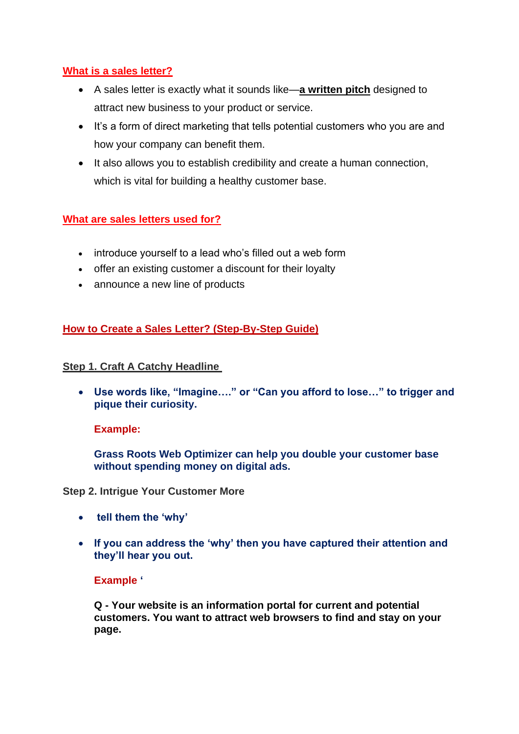## **What is a sales letter?**

- A sales letter is exactly what it sounds like—**a written pitch** designed to attract new business to your product or service.
- It's a form of direct marketing that tells potential customers who you are and how your company can benefit them.
- It also allows you to establish credibility and create a human connection, which is vital for building a healthy customer base.

#### **What are sales letters used for?**

- introduce yourself to a lead who's filled out a web form
- offer an existing customer a discount for their loyalty
- announce a new line of products

## **How to Create a Sales Letter? (Step-By-Step Guide)**

#### **Step 1. Craft A Catchy Headline**

• **Use words like, "Imagine…." or "Can you afford to lose…" to trigger and pique their curiosity.**

#### **Example:**

**Grass Roots Web Optimizer can help you double your customer base without spending money on digital ads.**

**Step 2. Intrigue Your Customer More**

- **tell them the 'why'**
- **If you can address the 'why' then you have captured their attention and they'll hear you out.**

#### **Example '**

**Q - Your website is an information portal for current and potential customers. You want to attract web browsers to find and stay on your page.**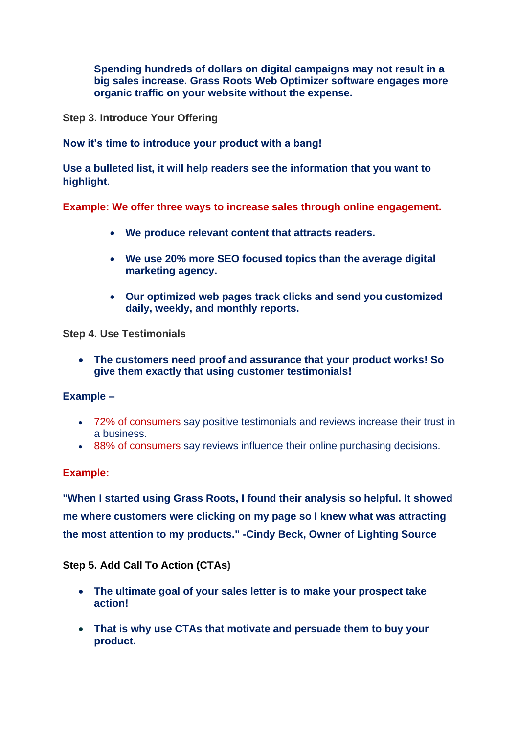**Spending hundreds of dollars on digital campaigns may not result in a big sales increase. Grass Roots Web Optimizer software engages more organic traffic on your website without the expense.**

**Step 3. Introduce Your Offering**

**Now it's time to introduce your product with a bang!**

**Use a bulleted list, it will help readers see the information that you want to highlight.**

**Example: We offer three ways to increase sales through online engagement.**

- **We produce relevant content that attracts readers.**
- **We use 20% more SEO focused topics than the average digital marketing agency.**
- **Our optimized web pages track clicks and send you customized daily, weekly, and monthly reports.**

#### **Step 4. Use Testimonials**

• **The customers need proof and assurance that your product works! So give them exactly that using customer testimonials!**

## **Example –**

- [72% of consumers](https://www.bigcommerce.com/blog/customer-testimonials/) say positive testimonials and reviews increase their trust in a business.
- [88% of consumers](https://www.vendasta.com/blog/50-stats-you-need-to-know-about-online-reviews/) say reviews influence their online purchasing decisions.

## **Example:**

**"When I started using Grass Roots, I found their analysis so helpful. It showed me where customers were clicking on my page so I knew what was attracting the most attention to my products." -Cindy Beck, Owner of Lighting Source**

## **Step 5. Add Call To Action (CTAs)**

- **The ultimate goal of your sales letter is to make your prospect take action!**
- **That is why use CTAs that motivate and persuade them to buy your product.**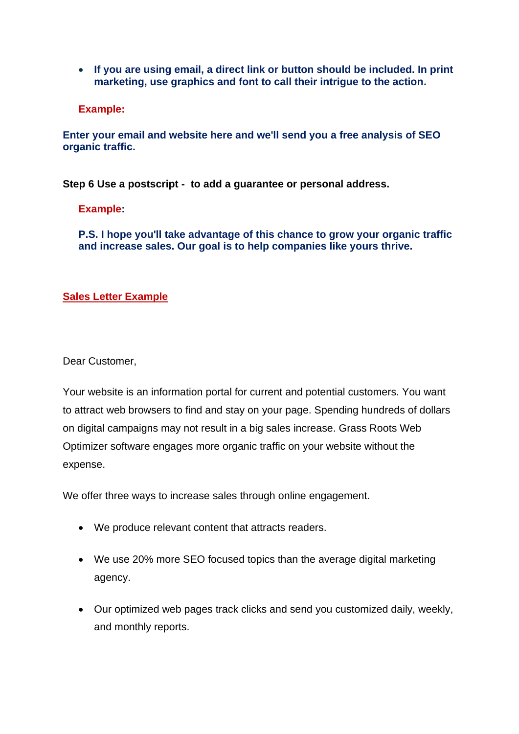• **If you are using email, a direct link or button should be included. In print marketing, use graphics and font to call their intrigue to the action.**

**Example:**

**Enter your email and website here and we'll send you a free analysis of SEO organic traffic.**

**Step 6 Use a postscript - to add a guarantee or personal address.**

**Example:**

**P.S. I hope you'll take advantage of this chance to grow your organic traffic and increase sales. Our goal is to help companies like yours thrive.**

## **Sales Letter Example**

Dear Customer,

Your website is an information portal for current and potential customers. You want to attract web browsers to find and stay on your page. Spending hundreds of dollars on digital campaigns may not result in a big sales increase. Grass Roots Web Optimizer software engages more organic traffic on your website without the expense.

We offer three ways to increase sales through online engagement.

- We produce relevant content that attracts readers.
- We use 20% more SEO focused topics than the average digital marketing agency.
- Our optimized web pages track clicks and send you customized daily, weekly, and monthly reports.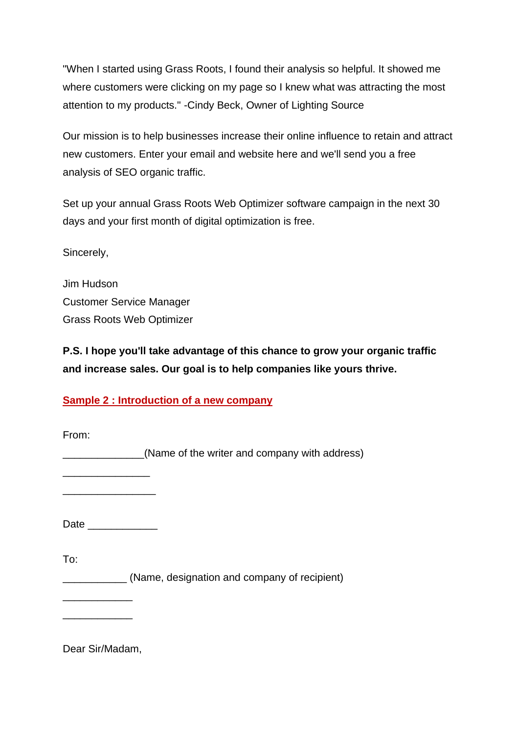"When I started using Grass Roots, I found their analysis so helpful. It showed me where customers were clicking on my page so I knew what was attracting the most attention to my products." -Cindy Beck, Owner of Lighting Source

Our mission is to help businesses increase their online influence to retain and attract new customers. Enter your email and website here and we'll send you a free analysis of SEO organic traffic.

Set up your annual Grass Roots Web Optimizer software campaign in the next 30 days and your first month of digital optimization is free.

Sincerely,

Jim Hudson Customer Service Manager Grass Roots Web Optimizer

**P.S. I hope you'll take advantage of this chance to grow your organic traffic and increase sales. Our goal is to help companies like yours thrive.**

## **Sample 2 : Introduction of a new company**

From: **EXAMPLE 2014** (Name of the writer and company with address) \_\_\_\_\_\_\_\_\_\_\_\_\_\_\_ \_\_\_\_\_\_\_\_\_\_\_\_\_\_\_\_ Date \_\_\_\_\_\_\_\_\_\_\_\_ To: \_\_\_\_\_\_\_\_\_\_\_ (Name, designation and company of recipient) \_\_\_\_\_\_\_\_\_\_\_\_ \_\_\_\_\_\_\_\_\_\_\_\_

Dear Sir/Madam,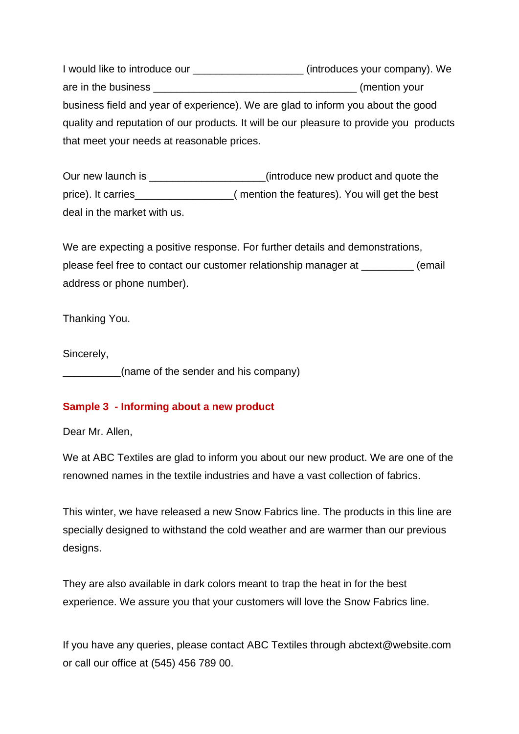I would like to introduce our \_\_\_\_\_\_\_\_\_\_\_\_\_\_\_\_\_\_\_ (introduces your company). We are in the business **are in the business** are in the business are in the business are in the business and the str business field and year of experience). We are glad to inform you about the good quality and reputation of our products. It will be our pleasure to provide you products that meet your needs at reasonable prices.

Our new launch is \_\_\_\_\_\_\_\_\_\_\_\_\_\_\_\_\_\_\_\_\_(introduce new product and quote the price). It carries\_\_\_\_\_\_\_\_\_\_\_\_\_\_\_\_\_( mention the features). You will get the best deal in the market with us.

We are expecting a positive response. For further details and demonstrations, please feel free to contact our customer relationship manager at \_\_\_\_\_\_\_\_\_ (email address or phone number).

Thanking You.

Sincerely,

\_\_\_\_\_\_\_\_\_\_(name of the sender and his company)

#### **Sample 3 - Informing about a new product**

Dear Mr. Allen,

We at ABC Textiles are glad to inform you about our new product. We are one of the renowned names in the textile industries and have a vast collection of fabrics.

This winter, we have released a new Snow Fabrics line. The products in this line are specially designed to withstand the cold weather and are warmer than our previous designs.

They are also available in dark colors meant to trap the heat in for the best experience. We assure you that your customers will love the Snow Fabrics line.

If you have any queries, please contact ABC Textiles through abctext@website.com or call our office at (545) 456 789 00.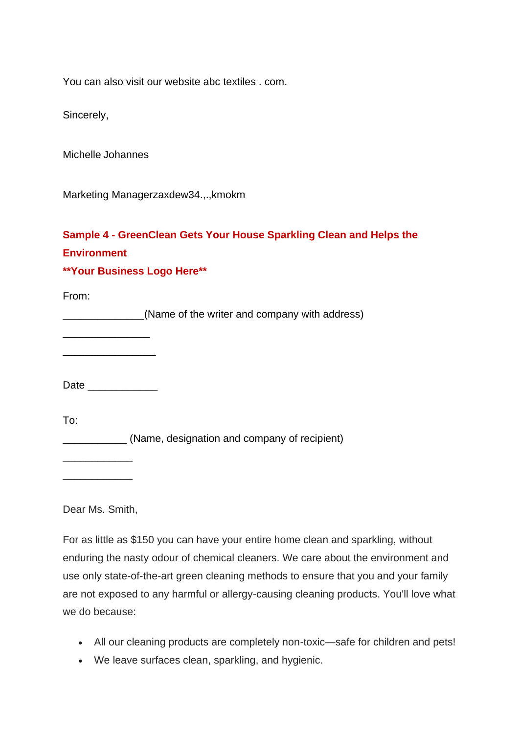You can also visit our website abc textiles . com.

Sincerely,

Michelle Johannes

Marketing Managerzaxdew34.,.,kmokm

# **Sample 4 - GreenClean Gets Your House Sparkling Clean and Helps the Environment**

## **\*\*Your Business Logo Here\*\***

From:

\_\_\_\_\_\_\_\_\_\_\_\_\_\_(Name of the writer and company with address)

\_\_\_\_\_\_\_\_\_\_\_\_\_\_\_ \_\_\_\_\_\_\_\_\_\_\_\_\_\_\_\_

Date \_\_\_\_\_\_\_\_\_\_\_\_

To:

\_\_\_\_\_\_\_\_\_\_\_ (Name, designation and company of recipient)

\_\_\_\_\_\_\_\_\_\_\_\_ \_\_\_\_\_\_\_\_\_\_\_\_

Dear Ms. Smith,

For as little as \$150 you can have your entire home clean and sparkling, without enduring the nasty odour of chemical cleaners. We care about the environment and use only state-of-the-art green cleaning methods to ensure that you and your family are not exposed to any harmful or allergy-causing cleaning products. You'll love what we do because:

- All our cleaning products are completely non-toxic—safe for children and pets!
- We leave surfaces clean, sparkling, and hygienic.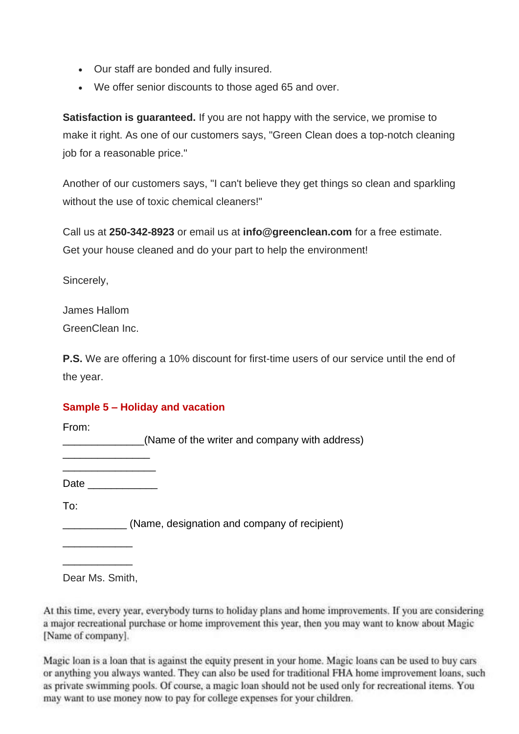- Our staff are bonded and fully insured.
- We offer senior discounts to those aged 65 and over.

**Satisfaction is guaranteed.** If you are not happy with the service, we promise to make it right. As one of our customers says, "Green Clean does a top-notch cleaning job for a reasonable price."

Another of our customers says, "I can't believe they get things so clean and sparkling without the use of toxic chemical cleaners!"

Call us at **250-342-8923** or email us at **info@greenclean.com** for a free estimate. Get your house cleaned and do your part to help the environment!

Sincerely,

James Hallom GreenClean Inc.

**P.S.** We are offering a 10% discount for first-time users of our service until the end of the year.

## **Sample 5 – Holiday and vacation**

From:

\_\_\_\_\_\_\_\_\_\_\_\_\_\_(Name of the writer and company with address)

\_\_\_\_\_\_\_\_\_\_\_\_\_\_\_\_ Date  $\Box$ 

\_\_\_\_\_\_\_\_\_\_\_\_\_\_\_

To:

\_\_\_\_\_\_\_\_\_\_\_ (Name, designation and company of recipient)

Dear Ms. Smith,

\_\_\_\_\_\_\_\_\_\_\_\_

\_\_\_\_\_\_\_\_\_\_\_\_

At this time, every year, everybody turns to holiday plans and home improvements. If you are considering a major recreational purchase or home improvement this year, then you may want to know about Magic [Name of company].

Magic loan is a loan that is against the equity present in your home. Magic loans can be used to buy cars or anything you always wanted. They can also be used for traditional FHA home improvement loans, such as private swimming pools. Of course, a magic loan should not be used only for recreational items. You may want to use money now to pay for college expenses for your children.